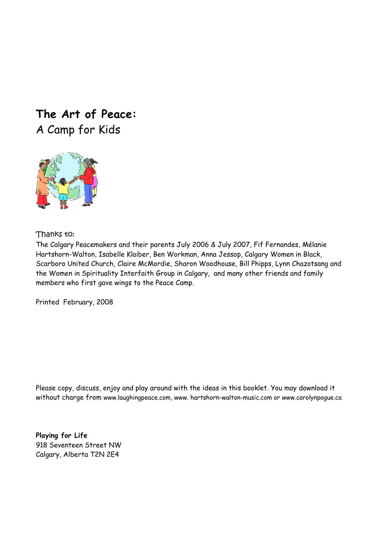## **The Art of Peace:**  A Camp for Kids



Thanks to:

The Calgary Peacemakers and their parents July 2006 & July 2007, Fif Fernandes, Mélanie Hartshorn-Walton, Isabelle Klaiber, Ben Workman, Anna Jessop, Calgary Women in Black, Scarboro United Church, Claire McMordie, Sharon Woodhouse, Bill Phipps, Lynn Chazotsang and the Women in Spirituality Interfaith Group in Calgary, and many other friends and family members who first gave wings to the Peace Camp.

Printed February, 2008

Please copy, discuss, enjoy and play around with the ideas in this booklet. You may download it without charge from www.laughingpeace.com, www. hartshorn-walton-music.com or www.carolynpogue.ca

**Playing for Life**  918 Seventeen Street NW Calgary, Alberta T2N 2E4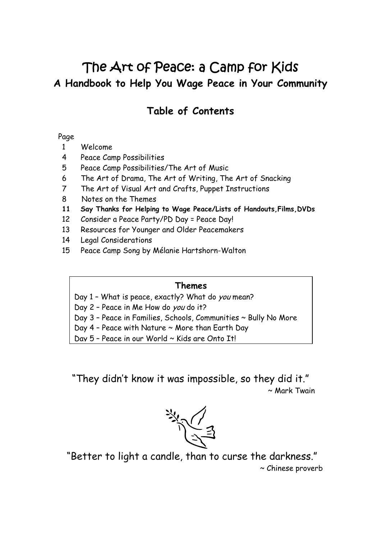# The Art of Peace: a Camp for Kids **A Handbook to Help You Wage Peace in Your Community**

## **Table of Contents**

## Page

- 1 Welcome
- 4 Peace Camp Possibilities
- 5 Peace Camp Possibilities/The Art of Music
- 6 The Art of Drama, The Art of Writing, The Art of Snacking
- 7 The Art of Visual Art and Crafts, Puppet Instructions
- 8Notes on the Themes
- **11 Say Thanks for Helping to Wage Peace/Lists of Handouts,Films,DVDs**
- 12 Consider a Peace Party/PD Day = Peace Day!
- 13 Resources for Younger and Older Peacemakers
- 14 Legal Considerations
- 15 Peace Camp Song by Mélanie Hartshorn-Walton

## **Themes**

- Day 1 What is peace, exactly? What do you mean?
- Day 2 Peace in Me How do you do it?
- Day 3 Peace in Families, Schools, Communities ~ Bully No More
- Day  $4$  Peace with Nature  $\sim$  More than Earth Day
- Day 5 Peace in our World ~ Kids are Onto It!

"They didn't know it was impossible, so they did it." ~ Mark Twain



 "Better to light a candle, than to curse the darkness." ~ Chinese proverb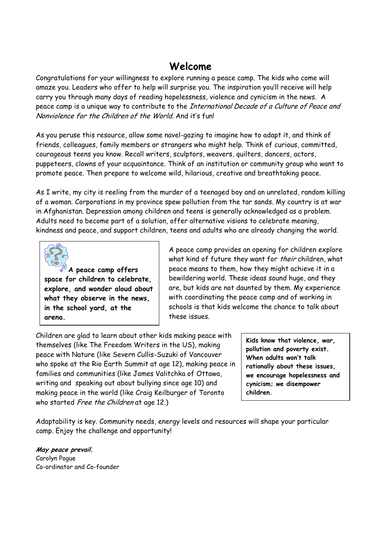## **Welcome**

Congratulations for your willingness to explore running a peace camp. The kids who come will amaze you. Leaders who offer to help will surprise you. The inspiration you'll receive will help carry you through many days of reading hopelessness, violence and cynicism in the news. A peace camp is a unique way to contribute to the International Decade of a Culture of Peace and Nonviolence for the Children of the World. And it's fun!

As you peruse this resource, allow some navel-gazing to imagine how to adapt it, and think of friends, colleagues, family members or strangers who might help. Think of curious, committed, courageous teens you know. Recall writers, sculptors, weavers, quilters, dancers, actors, puppeteers, clowns of your acquaintance. Think of an institution or community group who want to promote peace. Then prepare to welcome wild, hilarious, creative and breathtaking peace.

As I write, my city is reeling from the murder of a teenaged boy and an unrelated, random killing of a woman. Corporations in my province spew pollution from the tar sands. My country is at war in Afghanistan. Depression among children and teens is generally acknowledged as a problem. Adults need to become part of a solution, offer alternative visions to celebrate meaning, kindness and peace, and support children, teens and adults who are already changing the world.



**A peace camp offers space for children to celebrate, explore, and wonder aloud about what they observe in the news, in the school yard, at the arena.**

A peace camp provides an opening for children explore what kind of future they want for their children, what peace means to them, how they might achieve it in a bewildering world. These ideas sound huge, and they are, but kids are not daunted by them. My experience with coordinating the peace camp and of working in schools is that kids welcome the chance to talk about these issues.

Children are glad to learn about other kids making peace with themselves (like The Freedom Writers in the US), making peace with Nature (like Severn Cullis-Suzuki of Vancouver who spoke at the Rio Earth Summit at age 12), making peace in families and communities (like James Valitchka of Ottawa, writing and speaking out about bullying since age 10) and making peace in the world (like Craig Keilburger of Toronto who started Free the Children at age 12.)

**Kids know that violence, war, pollution and poverty exist. When adults won't talk rationally about these issues, we encourage hopelessness and cynicism; we disempower children.** 

Adaptability is key. Community needs, energy levels and resources will shape your particular camp. Enjoy the challenge and opportunity!

**May peace prevail.**  Carolyn Pogue Co-ordinator and Co-founder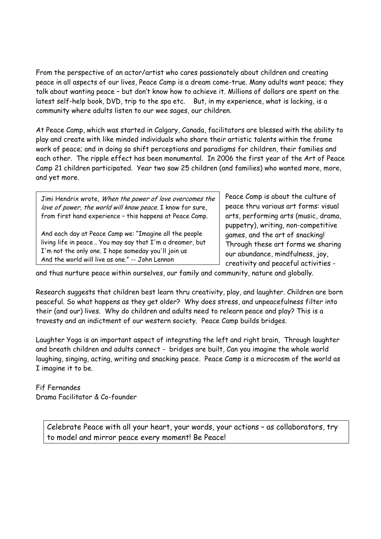From the perspective of an actor/artist who cares passionately about children and creating peace in all aspects of our lives, Peace Camp is a dream come-true. Many adults want peace; they talk about wanting peace – but don't know how to achieve it. Millions of dollars are spent on the latest self-help book, DVD, trip to the spa etc. But, in my experience, what is lacking, is a community where adults listen to our wee sages, our children.

At Peace Camp, which was started in Calgary, Canada, facilitators are blessed with the ability to play and create with like minded individuals who share their artistic talents within the frame work of peace; and in doing so shift perceptions and paradigms for children, their families and each other. The ripple effect has been monumental. In 2006 the first year of the Art of Peace Camp 21 children participated. Year two saw 25 children (and families) who wanted more, more, and yet more.

Jimi Hendrix wrote, When the power of love overcomes the love of power, the world will know peace. I know for sure, from first hand experience – this happens at Peace Camp.

And each day at Peace Camp we: "Imagine all the people living life in peace… You may say that I'm a dreamer, but I'm not the only one. I hope someday you'll join us And the world will live as one." -- John Lennon

Peace Camp is about the culture of peace thru various art forms: visual arts, performing arts (music, drama, puppetry), writing, non-competitive games, and the art of snacking! Through these art forms we sharing our abundance, mindfulness, joy, creativity and peaceful activities -

and thus nurture peace within ourselves, our family and community, nature and globally.

Research suggests that children best learn thru creativity, play, and laughter. Children are born peaceful. So what happens as they get older? Why does stress, and unpeacefulness filter into their (and our) lives. Why do children and adults need to relearn peace and play? This is a travesty and an indictment of our western society. Peace Camp builds bridges.

Laughter Yoga is an important aspect of integrating the left and right brain, Through laughter and breath children and adults connect - bridges are built, Can you imagine the whole world laughing, singing, acting, writing and snacking peace. Peace Camp is a microcosm of the world as I imagine it to be.

Fif Fernandes Drama Facilitator & Co-founder

> Celebrate Peace with all your heart, your words, your actions – as collaborators, try to model and mirror peace every moment! Be Peace!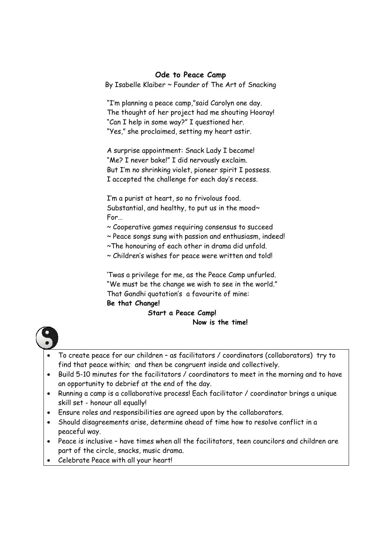#### **Ode to Peace Camp**

By Isabelle Klaiber ~ Founder of The Art of Snacking

"I'm planning a peace camp,"said Carolyn one day. The thought of her project had me shouting Hooray! "Can I help in some way?" I questioned her. "Yes," she proclaimed, setting my heart astir.

A surprise appointment: Snack Lady I became! "Me? I never bake!" I did nervously exclaim. But I'm no shrinking violet, pioneer spirit I possess. I accepted the challenge for each day's recess.

I'm a purist at heart, so no frivolous food. Substantial, and healthy, to put us in the mood $\sim$ For…

~ Cooperative games requiring consensus to succeed

~ Peace songs sung with passion and enthusiasm, indeed!

~The honouring of each other in drama did unfold.

~ Children's wishes for peace were written and told!

'Twas a privilege for me, as the Peace Camp unfurled. "We must be the change we wish to see in the world." That Gandhi quotation's a favourite of mine: **Be that Change!** 

**Start a Peace Camp! Now is the time!** 



- To create peace for our children as facilitators / coordinators (collaborators) try to find that peace within; and then be congruent inside and collectively.
- Build 5-10 minutes for the facilitators / coordinators to meet in the morning and to have an opportunity to debrief at the end of the day.
- Running a camp is a collaborative process! Each facilitator / coordinator brings a unique skill set - honour all equally!
- Ensure roles and responsibilities are agreed upon by the collaborators.
- Should disagreements arise, determine ahead of time how to resolve conflict in a peaceful way.
- Peace is inclusive have times when all the facilitators, teen councilors and children are part of the circle, snacks, music drama.
- Celebrate Peace with all your heart!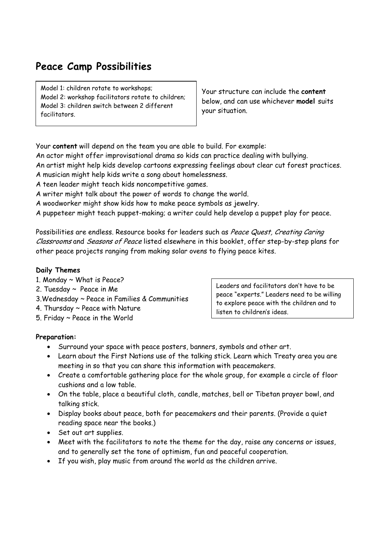## **Peace Camp Possibilities**

Model 1: children rotate to workshops; Model 2: workshop facilitators rotate to children; Model 3: children switch between 2 different facilitators.

Your structure can include the **content**  below, and can use whichever **model** suits your situation.

Your **content** will depend on the team you are able to build. For example:

An actor might offer improvisational drama so kids can practice dealing with bullying.

An artist might help kids develop cartoons expressing feelings about clear cut forest practices.

A musician might help kids write a song about homelessness.

A teen leader might teach kids noncompetitive games.

A writer might talk about the power of words to change the world.

A woodworker might show kids how to make peace symbols as jewelry.

A puppeteer might teach puppet-making; a writer could help develop a puppet play for peace.

Possibilities are endless. Resource books for leaders such as Peace Quest, Creating Caring Classrooms and Seasons of Peace listed elsewhere in this booklet, offer step-by-step plans for other peace projects ranging from making solar ovens to flying peace kites.

#### **Daily Themes**

- 1. Monday ~ What is Peace?
- 2. Tuesday  $\sim$  Peace in Me
- 3.Wednesday ~ Peace in Families & Communities
- 4. Thursday ~ Peace with Nature
- 5. Friday ~ Peace in the World

Leaders and facilitators don't have to be peace "experts." Leaders need to be willing to explore peace with the children and to listen to children's ideas.

#### **Preparation:**

- Surround your space with peace posters, banners, symbols and other art.
- Learn about the First Nations use of the talking stick. Learn which Treaty area you are meeting in so that you can share this information with peacemakers.
- Create a comfortable gathering place for the whole group, for example a circle of floor cushions and a low table.
- On the table, place a beautiful cloth, candle, matches, bell or Tibetan prayer bowl, and talking stick.
- Display books about peace, both for peacemakers and their parents. (Provide a quiet reading space near the books.)
- Set out art supplies.
- Meet with the facilitators to note the theme for the day, raise any concerns or issues, and to generally set the tone of optimism, fun and peaceful cooperation.
- If you wish, play music from around the world as the children arrive.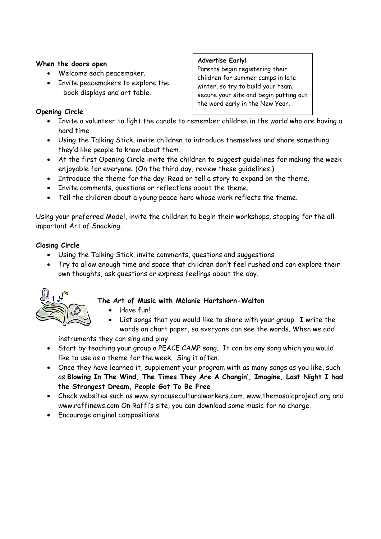#### **When the doors open**

- Welcome each peacemaker.
- Invite peacemakers to explore the book displays and art table.

#### **Opening Circle**

## • Invite a volunteer to light the candle to remember children in the world who are having a hard time.

- Using the Talking Stick, invite children to introduce themselves and share something they'd like people to know about them.
- At the first Opening Circle invite the children to suggest guidelines for making the week enjoyable for everyone. (On the third day, review these guidelines.)
- Introduce the theme for the day. Read or tell a story to expand on the theme.
- Invite comments, questions or reflections about the theme.
- Tell the children about a young peace hero whose work reflects the theme.

Using your preferred Model, invite the children to begin their workshops, stopping for the allimportant Art of Snacking.

#### **Closing Circle**

- Using the Talking Stick, invite comments, questions and suggestions.
- Try to allow enough time and space that children don't feel rushed and can explore their own thoughts, ask questions or express feelings about the day.



#### **The Art of Music with Mélanie Hartshorn-Walton**

- Have fun!
- List songs that you would like to share with your group. I write the words on chart paper, so everyone can see the words. When we add

instruments they can sing and play.

- Start by teaching your group a PEACE CAMP song. It can be any song which you would like to use as a theme for the week. Sing it often.
- Once they have learned it, supplement your program with as many songs as you like, such as **Blowing In The Wind, The Times They Are A Changin', Imagine, Last Night I had the Strangest Dream, People Got To Be Free**
- Check websites such as www.syracuseculturalworkers.com, www.themosaicproject.org and www.raffinews.com On Raffi's site, you can download some music for no charge.
- Encourage original compositions.

#### **Advertise Early!**

Parents begin registering their children for summer camps in late winter, so try to build your team, secure your site and begin putting out the word early in the New Year.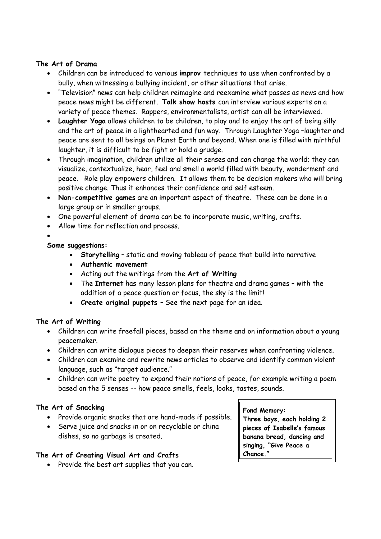### **The Art of Drama**

- Children can be introduced to various **improv** techniques to use when confronted by a bully, when witnessing a bullying incident, or other situations that arise.
- "Television" news can help children reimagine and reexamine what passes as news and how peace news might be different. **Talk show hosts** can interview various experts on a variety of peace themes. Rappers, environmentalists, artist can all be interviewed.
- **Laughter Yoga** allows children to be children, to play and to enjoy the art of being silly and the art of peace in a lighthearted and fun way. Through Laughter Yoga –laughter and peace are sent to all beings on Planet Earth and beyond. When one is filled with mirthful laughter, it is difficult to be fight or hold a grudge.
- Through imagination, children utilize all their senses and can change the world; they can visualize, contextualize, hear, feel and smell a world filled with beauty, wonderment and peace. Role play empowers children. It allows them to be decision makers who will bring positive change. Thus it enhances their confidence and self esteem.
- **Non-competitive games** are an important aspect of theatre. These can be done in a large group or in smaller groups.
- One powerful element of drama can be to incorporate music, writing, crafts.
- Allow time for reflection and process.
- •

## **Some suggestions:**

- **Storytelling** static and moving tableau of peace that build into narrative
- **Authentic movement**
- Acting out the writings from the **Art of Writing**
- The **Internet** has many lesson plans for theatre and drama games with the addition of a peace question or focus, the sky is the limit!
- **Create original puppets**  See the next page for an idea.

## **The Art of Writing**

- Children can write freefall pieces, based on the theme and on information about a young peacemaker.
- Children can write dialogue pieces to deepen their reserves when confronting violence.
- Children can examine and rewrite news articles to observe and identify common violent language, such as "target audience."
- Children can write poetry to expand their notions of peace, for example writing a poem based on the 5 senses -- how peace smells, feels, looks, tastes, sounds.

#### **The Art of Snacking**

- Provide organic snacks that are hand-made if possible.
- Serve juice and snacks in or on recyclable or china dishes, so no garbage is created.

#### **The Art of Creating Visual Art and Crafts**

• Provide the best art supplies that you can.

#### **Fond Memory:**

**Three boys, each holding 2 pieces of Isabelle's famous banana bread, dancing and singing, "Give Peace a Chance."**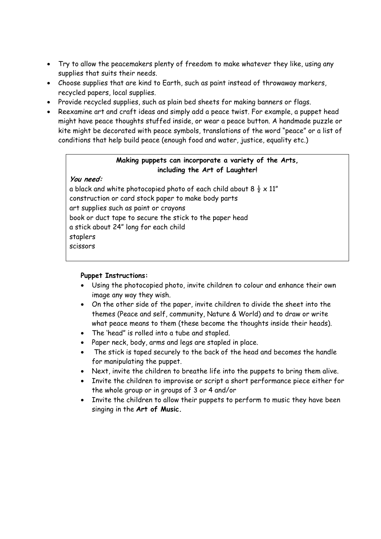- Try to allow the peacemakers plenty of freedom to make whatever they like, using any supplies that suits their needs.
- Choose supplies that are kind to Earth, such as paint instead of throwaway markers, recycled papers, local supplies.
- Provide recycled supplies, such as plain bed sheets for making banners or flags.
- Reexamine art and craft ideas and simply add a peace twist. For example, a puppet head might have peace thoughts stuffed inside, or wear a peace button. A handmade puzzle or kite might be decorated with peace symbols, translations of the word "peace" or a list of conditions that help build peace (enough food and water, justice, equality etc.)

#### **Making puppets can incorporate a variety of the Arts, including the Art of Laughter!**

#### **You need:**

a black and white photocopied photo of each child about 8  $\frac{1}{2} \times 11$ " construction or card stock paper to make body parts art supplies such as paint or crayons book or duct tape to secure the stick to the paper head a stick about 24" long for each child staplers scissors

#### **Puppet Instructions:**

- Using the photocopied photo, invite children to colour and enhance their own image any way they wish.
- On the other side of the paper, invite children to divide the sheet into the themes (Peace and self, community, Nature & World) and to draw or write what peace means to them (these become the thoughts inside their heads).
- The 'head" is rolled into a tube and stapled.
- Paper neck, body, arms and legs are stapled in place.
- The stick is taped securely to the back of the head and becomes the handle for manipulating the puppet.
- Next, invite the children to breathe life into the puppets to bring them alive.
- Invite the children to improvise or script a short performance piece either for the whole group or in groups of 3 or 4 and/or
- Invite the children to allow their puppets to perform to music they have been singing in the **Art of Music.**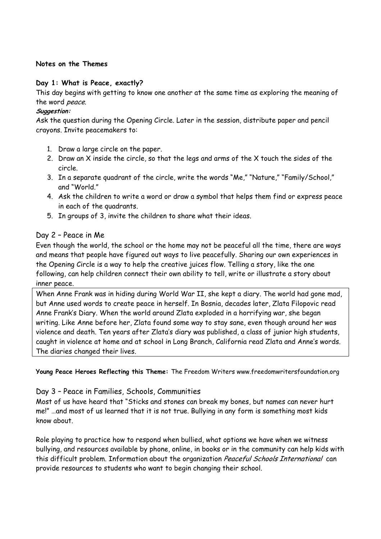#### **Notes on the Themes**

#### **Day 1: What is Peace, exactly?**

This day begins with getting to know one another at the same time as exploring the meaning of the word peace.

#### **Suggestion:**

Ask the question during the Opening Circle. Later in the session, distribute paper and pencil crayons. Invite peacemakers to:

- 1. Draw a large circle on the paper.
- 2. Draw an X inside the circle, so that the legs and arms of the X touch the sides of the circle.
- 3. In a separate quadrant of the circle, write the words "Me," "Nature," "Family/School," and "World."
- 4. Ask the children to write a word or draw a symbol that helps them find or express peace in each of the quadrants.
- 5. In groups of 3, invite the children to share what their ideas.

#### Day 2 – Peace in Me

Even though the world, the school or the home may not be peaceful all the time, there are ways and means that people have figured out ways to live peacefully. Sharing our own experiences in the Opening Circle is a way to help the creative juices flow. Telling a story, like the one following, can help children connect their own ability to tell, write or illustrate a story about inner peace.

When Anne Frank was in hiding during World War II, she kept a diary. The world had gone mad, but Anne used words to create peace in herself. In Bosnia, decades later, Zlata Filopovic read Anne Frank's Diary. When the world around Zlata exploded in a horrifying war, she began writing. Like Anne before her, Zlata found some way to stay sane, even though around her was violence and death. Ten years after Zlata's diary was published, a class of junior high students, caught in violence at home and at school in Long Branch, California read Zlata and Anne's words. The diaries changed their lives.

**Young Peace Heroes Reflecting this Theme:** The Freedom Writers www.freedomwritersfoundation.org

#### Day 3 – Peace in Families, Schools, Communities

Most of us have heard that "Sticks and stones can break my bones, but names can never hurt me!" …and most of us learned that it is not true. Bullying in any form is something most kids know about.

Role playing to practice how to respond when bullied, what options we have when we witness bullying, and resources available by phone, online, in books or in the community can help kids with this difficult problem. Information about the organization Peaceful Schools International can provide resources to students who want to begin changing their school.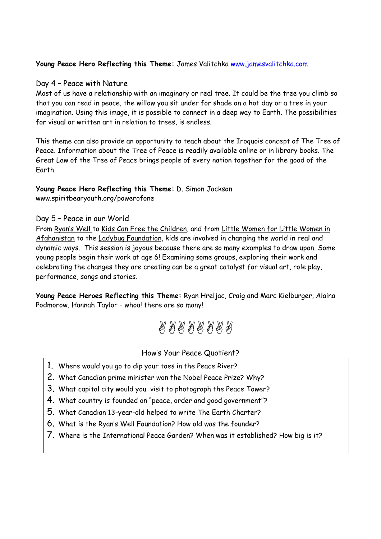### **Young Peace Hero Reflecting this Theme:** James Valitchka www.jamesvalitchka.com

#### Day 4 – Peace with Nature

Most of us have a relationship with an imaginary or real tree. It could be the tree you climb so that you can read in peace, the willow you sit under for shade on a hot day or a tree in your imagination. Using this image, it is possible to connect in a deep way to Earth. The possibilities for visual or written art in relation to trees, is endless.

This theme can also provide an opportunity to teach about the Iroquois concept of The Tree of Peace. Information about the Tree of Peace is readily available online or in library books. The Great Law of the Tree of Peace brings people of every nation together for the good of the Earth.

#### **Young Peace Hero Reflecting this Theme:** D. Simon Jackson www.spiritbearyouth.org/powerofone

#### Day 5 – Peace in our World

From Ryan's Well to Kids Can Free the Children, and from Little Women for Little Women in Afghanistan to the Ladybug Foundation, kids are involved in changing the world in real and dynamic ways. This session is joyous because there are so many examples to draw upon. Some young people begin their work at age 6! Examining some groups, exploring their work and celebrating the changes they are creating can be a great catalyst for visual art, role play, performance, songs and stories.

**Young Peace Heroes Reflecting this Theme:** Ryan Hreljac, Craig and Marc Kielburger, Alaina Podmorow, Hannah Taylor – whoa! there are so many!



#### How's Your Peace Quotient?

- 1. Where would you go to dip your toes in the Peace River?
- 2. What Canadian prime minister won the Nobel Peace Prize? Why?
- 3. What capital city would you visit to photograph the Peace Tower?
- 4. What country is founded on "peace, order and good government"?
- 5. What Canadian 13-year-old helped to write The Earth Charter?
- 6. What is the Ryan's Well Foundation? How old was the founder?
- 7. Where is the International Peace Garden? When was it established? How big is it?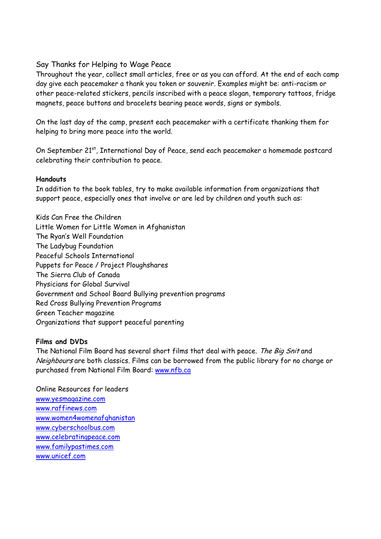### Say Thanks for Helping to Wage Peace

Throughout the year, collect small articles, free or as you can afford. At the end of each camp day give each peacemaker a thank you token or souvenir. Examples might be: anti-racism or other peace-related stickers, pencils inscribed with a peace slogan, temporary tattoos, fridge magnets, peace buttons and bracelets bearing peace words, signs or symbols.

On the last day of the camp, present each peacemaker with a certificate thanking them for helping to bring more peace into the world.

On September 21<sup>st</sup>, International Day of Peace, send each peacemaker a homemade postcard celebrating their contribution to peace.

#### **Handouts**

In addition to the book tables, try to make available information from organizations that support peace, especially ones that involve or are led by children and youth such as:

Kids Can Free the Children Little Women for Little Women in Afghanistan The Ryan's Well Foundation The Ladybug Foundation Peaceful Schools International Puppets for Peace / Project Ploughshares The Sierra Club of Canada Physicians for Global Survival Government and School Board Bullying prevention programs Red Cross Bullying Prevention Programs Green Teacher magazine Organizations that support peaceful parenting

#### **Films and DVDs**

The National Film Board has several short films that deal with peace. The Big Snit and Neighbours are both classics. Films can be borrowed from the public library for no charge or purchased from National Film Board: www.nfb.ca

Online Resources for leaders www.yesmagazine.com www.raffinews.com www.women4womenafghanistan www.cyberschoolbus.com www.celebratingpeace.com www.familypastimes.com www.unicef.com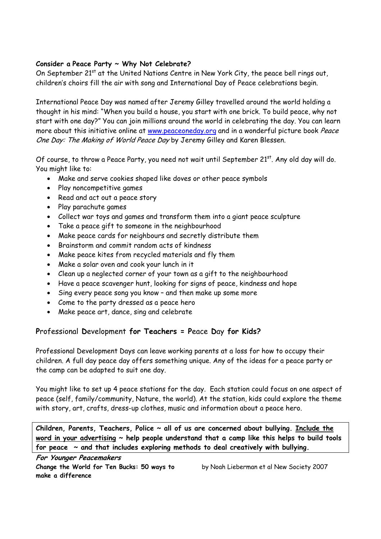### **Consider a Peace Party ~ Why Not Celebrate?**

On September 21<sup>st</sup> at the United Nations Centre in New York City, the peace bell rings out, children's choirs fill the air with song and International Day of Peace celebrations begin.

International Peace Day was named after Jeremy Gilley travelled around the world holding a thought in his mind: "When you build a house, you start with one brick. To build peace, why not start with one day?" You can join millions around the world in celebrating the day. You can learn more about this initiative online at www.peaceoneday.org and in a wonderful picture book Peace One Day: The Making of World Peace Day by Jeremy Gilley and Karen Blessen.

Of course, to throw a Peace Party, you need not wait until September 21<sup>st</sup>. Any old day will do. You might like to:

- Make and serve cookies shaped like doves or other peace symbols
- Play noncompetitive games
- Read and act out a peace story
- Play parachute games
- Collect war toys and games and transform them into a giant peace sculpture
- Take a peace gift to someone in the neighbourhood
- Make peace cards for neighbours and secretly distribute them
- Brainstorm and commit random acts of kindness
- Make peace kites from recycled materials and fly them
- Make a solar oven and cook your lunch in it
- Clean up a neglected corner of your town as a gift to the neighbourhood
- Have a peace scavenger hunt, looking for signs of peace, kindness and hope
- Sing every peace song you know and then make up some more
- Come to the party dressed as a peace hero
- Make peace art, dance, sing and celebrate

## **P**rofessional **D**evelopment **for Teachers = P**eace **D**ay **for Kids?**

Professional Development Days can leave working parents at a loss for how to occupy their children. A full day peace day offers something unique. Any of the ideas for a peace party or the camp can be adapted to suit one day.

You might like to set up 4 peace stations for the day. Each station could focus on one aspect of peace (self, family/community, Nature, the world). At the station, kids could explore the theme with story, art, crafts, dress-up clothes, music and information about a peace hero.

**Children, Parents, Teachers, Police ~ all of us are concerned about bullying. Include the**  word in your advertising ~ help people understand that a camp like this helps to build tools **for peace ~ and that includes exploring methods to deal creatively with bullying.**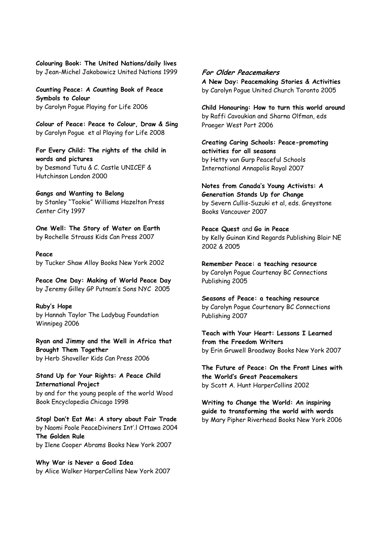**Colouring Book: The United Nations/daily lives**  by Jean-Michel Jakobowicz United Nations 1999

**Counting Peace: A Counting Book of Peace Symbols to Colour**  by Carolyn Pogue Playing for Life 2006

**Colour of Peace: Peace to Colour, Draw & Sing**  by Carolyn Pogue et al Playing for Life 2008

**For Every Child: The rights of the child in words and pictures**  by Desmond Tutu & C. Castle UNICEF & Hutchinson London 2000

**Gangs and Wanting to Belong**  by Stanley "Tookie" Williams Hazelton Press Center City 1997

**One Well: The Story of Water on Earth**  by Rochelle Strauss Kids Can Press 2007

#### **Peace**

by Tucker Shaw Alloy Books New York 2002

**Peace One Day: Making of World Peace Day**  by Jeremy Gilley GP Putnam's Sons NYC 2005

**Ruby's Hope**  by Hannah Taylor The Ladybug Foundation Winnipeg 2006

**Ryan and Jimmy and the Well in Africa that Brought Them Together**  by Herb Shoveller Kids Can Press 2006

#### **Stand Up for Your Rights: A Peace Child International Project**

by and for the young people of the world Wood Book Encyclopedia Chicago 1998

**Stop! Don't Eat Me: A story about Fair Trade**  by Naomi Poole PeaceDiviners Int'.l Ottawa 2004 **The Golden Rule**  by Ilene Cooper Abrams Books New York 2007

### **Why War is Never a Good Idea**

by Alice Walker HarperCollins New York 2007

### **For Older Peacemakers**

**A New Day: Peacemaking Stories & Activities**  by Carolyn Pogue United Church Toronto 2005

**Child Honouring: How to turn this world around**  by Raffi Cavoukian and Sharna Olfman, eds Praeger West Port 2006

**Creating Caring Schools: Peace-promoting activities for all seasons**  by Hetty van Gurp Peaceful Schools International Annapolis Royal 2007

**Notes from Canada's Young Activists: A Generation Stands Up for Change**  by Severn Cullis-Suzuki et al, eds. Greystone Books Vancouver 2007

**Peace Quest** and **Go in Peace**  by Kelly Guinan Kind Regards Publishing Blair NE 2002 & 2005

**Remember Peace: a teaching resource**  by Carolyn Pogue Courtenay BC Connections Publishing 2005

**Seasons of Peace: a teaching resource**  by Carolyn Pogue Courtenary BC Connections Publishing 2007

**Teach with Your Heart: Lessons I Learned from the Freedom Writers**  by Erin Gruwell Broadway Books New York 2007

**The Future of Peace: On the Front Lines with the World's Great Peacemakers**  by Scott A. Hunt HarperCollins 2002

**Writing to Change the World: An inspiring guide to transforming the world with words**  by Mary Pipher Riverhead Books New York 2006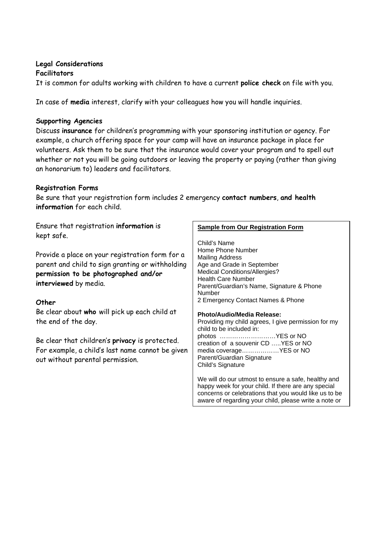#### **Legal Considerations Facilitators**

It is common for adults working with children to have a current **police check** on file with you.

In case of **media** interest, clarify with your colleagues how you will handle inquiries.

#### **Supporting Agencies**

Discuss **insurance** for children's programming with your sponsoring institution or agency. For example, a church offering space for your camp will have an insurance package in place for volunteers. Ask them to be sure that the insurance would cover your program and to spell out whether or not you will be going outdoors or leaving the property or paying (rather than giving an honorarium to) leaders and facilitators.

#### **Registration Forms**

Be sure that your registration form includes 2 emergency **contact numbers**, **and health information** for each child.

Ensure that registration **information** is kept safe.

Provide a place on your registration form for a parent and child to sign granting or withholding **permission to be photographed and/or interviewed** by media.

#### **Other**

Be clear about **who** will pick up each child at the end of the day.

Be clear that children's **privacy** is protected. For example, a child's last name cannot be given out without parental permission.

#### **Sample from Our Registration Form**

Child's Name Home Phone Number Mailing Address Age and Grade in September Medical Conditions/Allergies? Health Care Number Parent/Guardian's Name, Signature & Phone Number 2 Emergency Contact Names & Phone

**Photo/Audio/Media Release:**  Providing my child agrees, I give permission for my child to be included in: photos ………………………YES or NO creation of a souvenir CD …..YES or NO media coverage………………YES or NO Parent/Guardian Signature Child's Signature

We will do our utmost to ensure a safe, healthy and happy week for your child. If there are any special concerns or celebrations that you would like us to be aware of regarding your child, please write a note or